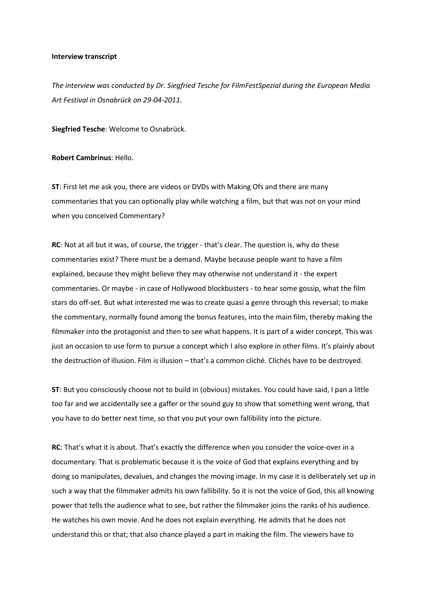## **Interview transcript**

*The interview was conducted by Dr. Siegfried Tesche for FilmFestSpezial during the European Media Art Festival in Osnabrück on 29-04-2011.*

**Siegfried Tesche**: Welcome to Osnabrück.

## **Robert Cambrinus**: Hello.

**ST**: First let me ask you, there are videos or DVDs with Making Ofs and there are many commentaries that you can optionally play while watching a film, but that was not on your mind when you conceived Commentary?

**RC**: Not at all but it was, of course, the trigger - that's clear. The question is, why do these commentaries exist? There must be a demand. Maybe because people want to have a film explained, because they might believe they may otherwise not understand it - the expert commentaries. Or maybe - in case of Hollywood blockbusters - to hear some gossip, what the film stars do off-set. But what interested me was to create quasi a genre through this reversal; to make the commentary, normally found among the bonus features, into the main film, thereby making the filmmaker into the protagonist and then to see what happens. It is part of a wider concept. This was just an occasion to use form to pursue a concept which I also explore in other films. It's plainly about the destruction of illusion. Film is illusion – that's a common cliché. Clichés have to be destroyed.

**ST**: But you consciously choose not to build in (obvious) mistakes. You could have said, I pan a little too far and we accidentally see a gaffer or the sound guy to show that something went wrong, that you have to do better next time, so that you put your own fallibility into the picture.

**RC**: That's what it is about. That's exactly the difference when you consider the voice-over in a documentary. That is problematic because it is the voice of God that explains everything and by doing so manipulates, devalues, and changes the moving image. In my case it is deliberately set up in such a way that the filmmaker admits his own fallibility. So it is not the voice of God, this all knowing power that tells the audience what to see, but rather the filmmaker joins the ranks of his audience. He watches his own movie. And he does not explain everything. He admits that he does not understand this or that; that also chance played a part in making the film. The viewers have to